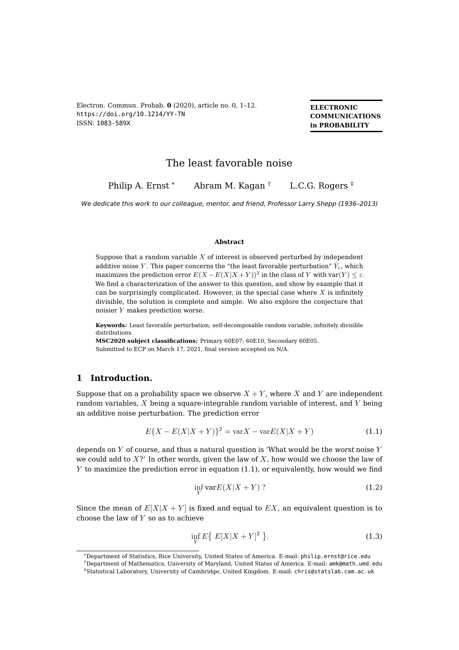<span id="page-0-2"></span>Electron. Commun. Probab. **0** (2020), article no. 0, 1–12. <https://doi.org/10.1214/YY-TN> ISSN: [1083-589X](https://imstat.org/journals-and-publications/electronic-communications-in-probability/)

**ELECTRONIC COMMUNICATIONS in PROBABILITY**

# The least favorable noise

Philip A. Ernst \* Abram M. Kagan  $\text{\textdegree{}}$  L.C.G. Rogers  $\text{\textdegree{}}$ 

We dedicate this work to our colleague, mentor, and friend, Professor Larry Shepp (1936–2013)

#### **Abstract**

Suppose that a random variable  $X$  of interest is observed perturbed by independent additive noise Y. This paper concerns the "the least favorable perturbation"  $\hat{Y}_{\varepsilon}$ , which maximizes the prediction error  $E(X - E(X|X + Y))^2$  in the class of Y with var $(Y) \leq \varepsilon$ . We find a characterization of the answer to this question, and show by example that it can be surprisingly complicated. However, in the special case where  $X$  is infinitely divisible, the solution is complete and simple. We also explore the conjecture that noisier Y makes prediction worse.

**Keywords:** Least favorable perturbation; self-decomposable random variable; infinitely divisible distributions.

**[MSC2020 subject classifications:](https://ams.org/mathscinet/msc/msc2020.html)** Primary 60E07; 60E10, Secondary 60E05. Submitted to ECP on March 17, 2021, final version accepted on N/A.

## **1 Introduction.**

Suppose that on a probability space we observe  $X + Y$ , where X and Y are independent random variables,  $X$  being a square-integrable random variable of interest, and  $Y$  being an additive noise perturbation. The prediction error

<span id="page-0-0"></span>
$$
E\{X - E(X|X + Y)\}^{2} = \text{var}X - \text{var}E(X|X + Y) \tag{1.1}
$$

depends on  $Y$  of course, and thus a natural question is 'What would be the worst noise  $Y$ we could add to  $X$ ?' In other words, given the law of  $X$ , how would we choose the law of  $Y$  to maximize the prediction error in equation [\(1.1\)](#page-0-0), or equivalently, how would we find

$$
\inf_{Y} \text{var}E(X|X+Y)? \tag{1.2}
$$

Since the mean of  $E[X|X+Y]$  is fixed and equal to EX, an equivalent question is to choose the law of  $Y$  so as to achieve

<span id="page-0-1"></span>
$$
\inf_{Y} E\big\{\ E[X|X+Y]^2\big\}.\tag{1.3}
$$

<sup>\*</sup>Department of Statistics, Rice University, United States of America. E-mail: [philip.ernst@rice.edu](mailto:philip.ernst@rice.edu)

<sup>†</sup>Department of Mathematics, University of Maryland, United States of America. E-mail: [amk@math.umd.edu](mailto:amk@math.umd.edu)

<sup>‡</sup>Statistical Laboratory, University of Cambridge, United Kingdom. E-mail: [chris@statslab.cam.ac.uk](mailto:chris@statslab.cam.ac.uk)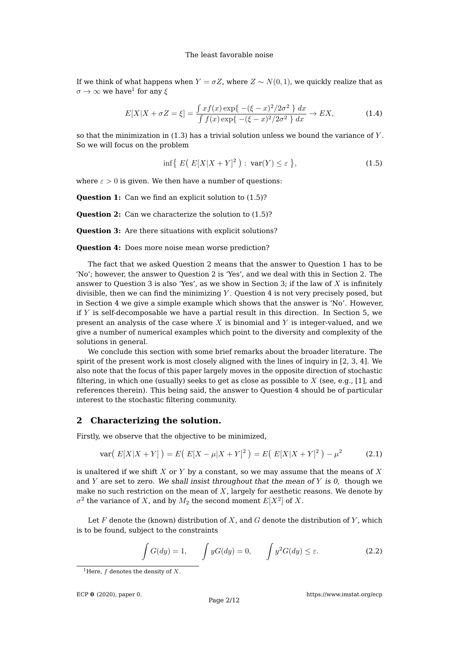If we think of what happens when  $Y = \sigma Z$ , where  $Z \sim N(0, 1)$ , we quickly realize that as  $\sigma\rightarrow\infty$  we have $^1$  $^1$  for any  $\xi$ 

<span id="page-1-4"></span>
$$
E[X|X + \sigma Z = \xi] = \frac{\int x f(x) \exp\{- (\xi - x)^2 / 2\sigma^2 \}}{\int f(x) \exp\{- (\xi - x)^2 / 2\sigma^2 \}} dx \to EX,
$$
 (1.4)

so that the minimization in  $(1.3)$  has a trivial solution unless we bound the variance of Y. So we will focus on the problem

<span id="page-1-1"></span>
$$
\inf\{|E(E[X|X+Y]^2): \operatorname{var}(Y)\leq \varepsilon\},\tag{1.5}
$$

where  $\varepsilon > 0$  is given. We then have a number of questions:

**Question 1:** Can we find an explicit solution to  $(1.5)$ ?

**Question 2:** Can we characterize the solution to  $(1.5)$ ?

**Question 3:** Are there situations with explicit solutions?

**Question 4:** Does more noise mean worse prediction?

The fact that we asked Question 2 means that the answer to Question 1 has to be 'No'; however, the answer to Question 2 is 'Yes', and we deal with this in Section [2.](#page-1-2) The answer to Question 3 is also 'Yes', as we show in Section [3;](#page-3-0) if the law of  $X$  is infinitely divisible, then we can find the minimizing  $Y$ . Question 4 is not very precisely posed, but in Section [4](#page-4-0) we give a simple example which shows that the answer is 'No'. However, if  $Y$  is self-decomposable we have a partial result in this direction. In Section [5,](#page-5-0) we present an analysis of the case where  $X$  is binomial and  $Y$  is integer-valued, and we give a number of numerical examples which point to the diversity and complexity of the solutions in general.

We conclude this section with some brief remarks about the broader literature. The spirit of the present work is most closely aligned with the lines of inquiry in [\[2,](#page-10-0) [3,](#page-10-1) [4\]](#page-10-2). We also note that the focus of this paper largely moves in the opposite direction of stochastic filtering, in which one (usually) seeks to get as close as possible to X (see, e.g., [\[1\]](#page-10-3), and references therein). This being said, the answer to Question 4 should be of particular interest to the stochastic filtering community.

### <span id="page-1-2"></span>**2 Characterizing the solution.**

Firstly, we observe that the objective to be minimized,

$$
\text{var}\big(\ E[X|X+Y]\big)\big) = E\big(\ E[X-\mu|X+Y]^2\big) = E\big(\ E[X|X+Y]^2\big) - \mu^2 \tag{2.1}
$$

is unaltered if we shift  $X$  or  $Y$  by a constant, so we may assume that the means of  $X$ and  $Y$  are set to zero. We shall insist throughout that the mean of  $Y$  is  $0$ , though we make no such restriction on the mean of  $X$ , largely for aesthetic reasons. We denote by  $\sigma^2$  the variance of  $X$ , and by  $M_2$  the second moment  $E[X^2]$  of  $X.$ 

Let  $F$  denote the (known) distribution of  $X$ , and  $G$  denote the distribution of  $Y$ , which is to be found, subject to the constraints

<span id="page-1-3"></span>
$$
\int G(dy) = 1, \qquad \int yG(dy) = 0, \qquad \int y^2 G(dy) \le \varepsilon. \tag{2.2}
$$

ECP **0** [\(2020\), paper 0.](https://doi.org/10.1214/YY-TN)

<span id="page-1-0"></span><sup>&</sup>lt;sup>1</sup>Here,  $f$  denotes the density of  $X$ .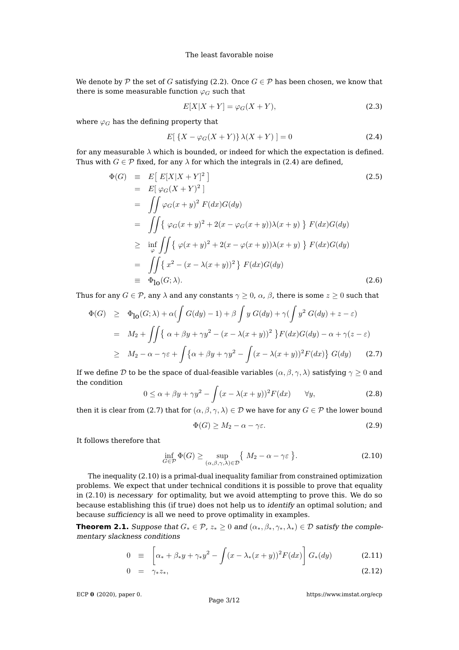We denote by P the set of G satisfying [\(2.2\)](#page-1-3). Once  $G \in \mathcal{P}$  has been chosen, we know that there is some measurable function  $\varphi_G$  such that

$$
E[X|X+Y] = \varphi_G(X+Y),\tag{2.3}
$$

where  $\varphi_G$  has the defining property that

<span id="page-2-0"></span>
$$
E[ \{X - \varphi_G(X + Y)\} \lambda(X + Y) ] = 0 \tag{2.4}
$$

for any measurable  $\lambda$  which is bounded, or indeed for which the expectation is defined. Thus with  $G \in \mathcal{P}$  fixed, for any  $\lambda$  for which the integrals in [\(2.4\)](#page-2-0) are defined,

<span id="page-2-4"></span>
$$
\Phi(G) \equiv E\left[E[X|X+Y]^2\right] \tag{2.5}
$$
\n
$$
= E\left[\varphi_G(X+Y)^2\right]
$$
\n
$$
= \iint \varphi_G(x+y)^2 F(dx)G(dy)
$$
\n
$$
= \iint \left\{\varphi_G(x+y)^2 + 2(x-\varphi_G(x+y))\lambda(x+y)\right\} F(dx)G(dy)
$$
\n
$$
\geq \inf_{\varphi} \iint \left\{\varphi(x+y)^2 + 2(x-\varphi(x+y))\lambda(x+y)\right\} F(dx)G(dy)
$$
\n
$$
= \iint \left\{x^2 - (x-\lambda(x+y))^2\right\} F(dx)G(dy)
$$
\n
$$
\equiv \Phi_{\text{lo}}(G;\lambda). \tag{2.6}
$$

Thus for any  $G \in \mathcal{P}$ , any  $\lambda$  and any constants  $\gamma \geq 0$ ,  $\alpha$ ,  $\beta$ , there is some  $z \geq 0$  such that

<span id="page-2-1"></span>
$$
\Phi(G) \geq \Phi_{10}(G;\lambda) + \alpha \left( \int G(dy) - 1 \right) + \beta \int y G(dy) + \gamma \left( \int y^2 G(dy) + z - \varepsilon \right)
$$
\n
$$
= M_2 + \iint \{ \alpha + \beta y + \gamma y^2 - (x - \lambda(x + y))^2 \} F(dx) G(dy) - \alpha + \gamma(z - \varepsilon)
$$
\n
$$
\geq M_2 - \alpha - \gamma \varepsilon + \int \{ \alpha + \beta y + \gamma y^2 - \int (x - \lambda(x + y))^2 F(dx) \} G(dy) \tag{2.7}
$$

If we define D to be the space of dual-feasible variables  $(\alpha, \beta, \gamma, \lambda)$  satisfying  $\gamma \geq 0$  and the condition

<span id="page-2-7"></span>
$$
0 \le \alpha + \beta y + \gamma y^2 - \int (x - \lambda(x + y))^2 F(dx) \qquad \forall y,
$$
\n(2.8)

then it is clear from [\(2.7\)](#page-2-1) that for  $(\alpha, \beta, \gamma, \lambda) \in \mathcal{D}$  we have for any  $G \in \mathcal{P}$  the lower bound

<span id="page-2-6"></span>
$$
\Phi(G) \ge M_2 - \alpha - \gamma \varepsilon. \tag{2.9}
$$

It follows therefore that

<span id="page-2-2"></span>
$$
\inf_{G \in \mathcal{P}} \Phi(G) \ge \sup_{(\alpha,\beta,\gamma,\lambda) \in \mathcal{D}} \{ M_2 - \alpha - \gamma \varepsilon \}.
$$
\n(2.10)

The inequality [\(2.10\)](#page-2-2) is a primal-dual inequality familiar from constrained optimization problems. We expect that under technical conditions it is possible to prove that equality in [\(2.10\)](#page-2-2) is necessary for optimality, but we avoid attempting to prove this. We do so because establishing this (if true) does not help us to identify an optimal solution; and because sufficiency is all we need to prove optimality in examples.

<span id="page-2-5"></span>**Theorem 2.1.** Suppose that  $G_* \in \mathcal{P}$ ,  $z_* \geq 0$  and  $(\alpha_*, \beta_*, \gamma_*, \lambda_*) \in \mathcal{D}$  satisfy the complementary slackness conditions

<span id="page-2-3"></span>
$$
0 \equiv \left[ \alpha_* + \beta_* y + \gamma_* y^2 - \int (x - \lambda_* (x + y))^2 F(dx) \right] G_*(dy) \tag{2.11}
$$

$$
0 = \gamma_* z_*, \tag{2.12}
$$

ECP **0** [\(2020\), paper 0.](https://doi.org/10.1214/YY-TN)

[https://www.imstat.org/ecp](https://imstat.org/journals-and-publications/electronic-communications-in-probability/)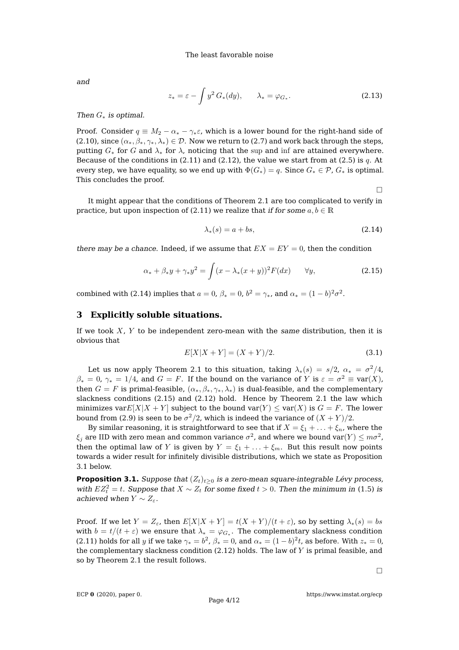and

$$
z_* = \varepsilon - \int y^2 G_*(dy), \qquad \lambda_* = \varphi_{G_*}.
$$
 (2.13)

### Then  $G_*$  is optimal.

Proof. Consider  $q \equiv M_2 - \alpha_* - \gamma_* \varepsilon$ , which is a lower bound for the right-hand side of [\(2.10\)](#page-2-2), since  $(\alpha_*, \beta_*, \gamma_*, \lambda_*) \in \mathcal{D}$ . Now we return to [\(2.7\)](#page-2-1) and work back through the steps, putting  $G_*$  for G and  $\lambda_*$  for  $\lambda$ , noticing that the sup and inf are attained everywhere. Because of the conditions in  $(2.11)$  and  $(2.12)$ , the value we start from at  $(2.5)$  is q. At every step, we have equality, so we end up with  $\Phi(G_*) = q$ . Since  $G_* \in \mathcal{P}$ ,  $G_*$  is optimal. This concludes the proof.

 $\Box$ 

It might appear that the conditions of Theorem [2.1](#page-2-5) are too complicated to verify in practice, but upon inspection of [\(2.11\)](#page-2-3) we realize that if for some  $a, b \in \mathbb{R}$ 

<span id="page-3-1"></span>
$$
\lambda_*(s) = a + bs,\tag{2.14}
$$

there may be a chance. Indeed, if we assume that  $EX = EY = 0$ , then the condition

<span id="page-3-2"></span>
$$
\alpha_* + \beta_* y + \gamma_* y^2 = \int (x - \lambda_*(x + y))^2 F(dx) \qquad \forall y,
$$
\n(2.15)

combined with [\(2.14\)](#page-3-1) implies that  $a = 0$ ,  $\beta_* = 0$ ,  $b^2 = \gamma_*$ , and  $\alpha_* = (1 - b)^2 \sigma^2$ .

### <span id="page-3-0"></span>**3 Explicitly soluble situations.**

If we took  $X$ ,  $Y$  to be independent zero-mean with the same distribution, then it is obvious that

$$
E[X|X+Y] = (X+Y)/2.
$$
 (3.1)

Let us now apply Theorem [2.1](#page-2-5) to this situation, taking  $\lambda_*(s) = s/2$ ,  $\alpha_* = \sigma^2/4$ ,  $\beta_*=0$ ,  $\gamma_*=1/4$ , and  $G=F.$  If the bound on the variance of  $Y$  is  $\varepsilon=\sigma^2\equiv\text{var}(X)$ , then  $G = F$  is primal-feasible,  $(\alpha_*, \beta_*, \gamma_*, \lambda_*)$  is dual-feasible, and the complementary slackness conditions [\(2.15\)](#page-3-2) and [\(2.12\)](#page-2-3) hold. Hence by Theorem [2.1](#page-2-5) the law which minimizes var $E[X|X+Y]$  subject to the bound var $(Y) \leq \text{var}(X)$  is  $G = F$ . The lower bound from [\(2.9\)](#page-2-6) is seen to be  $\sigma^2/2$ , which is indeed the variance of  $(X+Y)/2$ .

By similar reasoning, it is straightforward to see that if  $X = \xi_1 + \ldots + \xi_n$ , where the  $\xi_j$  are IID with zero mean and common variance  $\sigma^2$ , and where we bound var $(Y) \leq m \sigma^2$ , then the optimal law of Y is given by  $Y = \xi_1 + \ldots + \xi_m$ . But this result now points towards a wider result for infinitely divisible distributions, which we state as Proposition [3.1](#page-3-3) below.

<span id="page-3-3"></span>**Proposition 3.1.** Suppose that  $(Z_t)_{t>0}$  is a zero-mean square-integrable Lévy process, with  $EZ_t^2 = t$ . Suppose that  $X \sim Z_t$  for some fixed  $t > 0$ . Then the minimum in [\(1.5\)](#page-1-1) is achieved when  $Y \sim Z_{\varepsilon}$ .

Proof. If we let  $Y = Z_{\varepsilon}$ , then  $E[X|X+Y] = t(X+Y)/(t+\varepsilon)$ , so by setting  $\lambda_*(s) = bs$ with  $b=t/(t+\varepsilon)$  we ensure that  $\lambda_*=\varphi_{G_*}.$  The complementary slackness condition [\(2.11\)](#page-2-3) holds for all y if we take  $\gamma_*=b^2$ ,  $\beta_*=0$ , and  $\alpha_*= (1-b)^2t$ , as before. With  $z_*=0$ , the complementary slackness condition  $(2.12)$  holds. The law of Y is primal feasible, and so by Theorem [2.1](#page-2-5) the result follows.

 $\Box$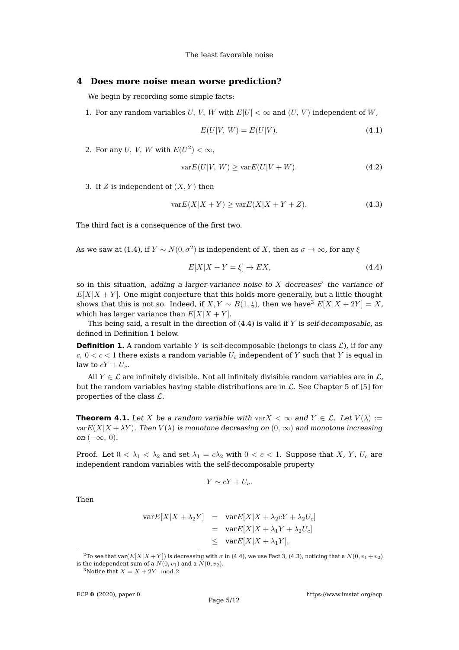### <span id="page-4-0"></span>**4 Does more noise mean worse prediction?**

We begin by recording some simple facts:

1. For any random variables U, V, W with  $E|U| < \infty$  and  $(U, V)$  independent of W,

$$
E(U|V, W) = E(U|V). \tag{4.1}
$$

2. For any U, V, W with  $E(U^2) < \infty$ ,

$$
\text{var}E(U|V, W) \ge \text{var}E(U|V + W). \tag{4.2}
$$

3. If Z is independent of  $(X, Y)$  then

<span id="page-4-5"></span>
$$
\text{var}E(X|X+Y) \ge \text{var}E(X|X+Y+Z),\tag{4.3}
$$

The third fact is a consequence of the first two.

As we saw at [\(1.4\)](#page-1-4), if  $Y \sim N(0, \sigma^2)$  is independent of  $X$ , then as  $\sigma \to \infty$ , for any  $\xi$ 

<span id="page-4-3"></span>
$$
E[X|X+Y=\xi] \to EX,\tag{4.4}
$$

so in this situation, adding a larger-variance noise to X decreases<sup>[2](#page-4-1)</sup> the variance of  $E[X|X+Y]$ . One might conjecture that this holds more generally, but a little thought shows that this is not so. Indeed, if  $X,Y\sim B(1,\frac{1}{2})$ , then we have $^3$  $^3$   $E[X|X+2Y]=X$ , which has larger variance than  $E[X|X+Y]$ .

This being said, a result in the direction of  $(4.4)$  is valid if Y is self-decomposable, as defined in Definition [1](#page-4-4) below.

<span id="page-4-4"></span>**Definition 1.** A random variable Y is self-decomposable (belongs to class  $\mathcal{L}$ ), if for any  $c, 0 < c < 1$  there exists a random variable  $U_c$  independent of Y such that Y is equal in law to  $cY + U_c$ .

All  $Y \in \mathcal{L}$  are infinitely divisible. Not all infinitely divisible random variables are in  $\mathcal{L}$ , but the random variables having stable distributions are in  $\mathcal{L}$ . See Chapter 5 of [\[5\]](#page-10-4) for properties of the class  $\mathcal{L}$ .

**Theorem 4.1.** Let X be a random variable with var $X < \infty$  and  $Y \in \mathcal{L}$ . Let  $V(\lambda) :=$  $varE(X|X + \lambda Y)$ . Then  $V(\lambda)$  is monotone decreasing on  $(0, \infty)$  and monotone increasing on  $(-\infty, 0)$ .

Proof. Let  $0 < \lambda_1 < \lambda_2$  and set  $\lambda_1 = c\lambda_2$  with  $0 < c < 1$ . Suppose that X, Y, U<sub>c</sub> are independent random variables with the self-decomposable property

$$
Y \sim cY + U_c.
$$

Then

$$
\begin{array}{rcl}\n\text{var}E[X|X+\lambda_2Y] & = & \text{var}E[X|X+\lambda_2cY+\lambda_2U_c] \\
& = & \text{var}E[X|X+\lambda_1Y+\lambda_2U_c] \\
& \leq & \text{var}E[X|X+\lambda_1Y],\n\end{array}
$$

<span id="page-4-1"></span><sup>&</sup>lt;sup>2</sup>To see that var $(E[X|X+Y])$  is decreasing with  $\sigma$  in [\(4.4\)](#page-4-3), we use Fact 3, [\(4.3\)](#page-4-5), noticing that a  $N(0, v_1 + v_2)$ is the independent sum of a  $N(0, v_1)$  and a  $N(0, v_2)$ .

<span id="page-4-2"></span><sup>&</sup>lt;sup>3</sup>Notice that  $X = X + 2Y \mod 2$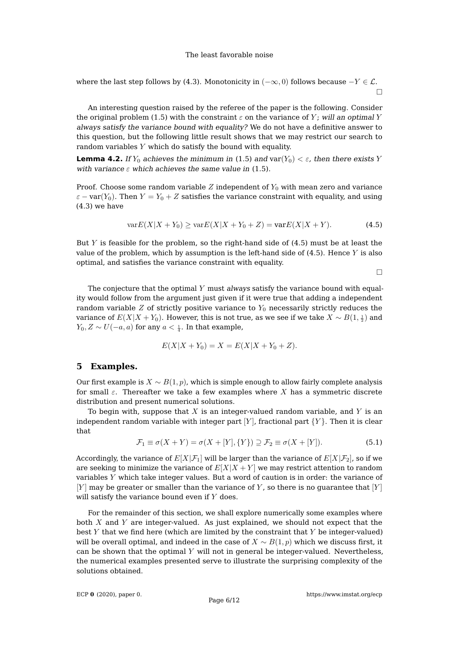where the last step follows by [\(4.3\)](#page-4-5). Monotonicity in  $(-\infty,0)$  follows because  $-Y \in \mathcal{L}$ .  $\Box$ 

An interesting question raised by the referee of the paper is the following. Consider the original problem [\(1.5\)](#page-1-1) with the constraint  $\varepsilon$  on the variance of Y; will an optimal Y always satisfy the variance bound with equality? We do not have a definitive answer to this question, but the following little result shows that we may restrict our search to random variables  $Y$  which do satisfy the bound with equality.

**Lemma 4.2.** If  $Y_0$  achieves the minimum in [\(1.5\)](#page-1-1) and var $(Y_0) < \varepsilon$ , then there exists Y with variance  $\varepsilon$  which achieves the same value in [\(1.5\)](#page-1-1).

Proof. Choose some random variable  $Z$  independent of  $Y_0$  with mean zero and variance  $\varepsilon$  – var $(Y_0)$ . Then  $Y = Y_0 + Z$  satisfies the variance constraint with equality, and using [\(4.3\)](#page-4-5) we have

<span id="page-5-1"></span>
$$
\text{var}E(X|X+Y_0) \ge \text{var}E(X|X+Y_0+Z) = \text{var}E(X|X+Y). \tag{4.5}
$$

But Y is feasible for the problem, so the right-hand side of  $(4.5)$  must be at least the value of the problem, which by assumption is the left-hand side of  $(4.5)$ . Hence Y is also optimal, and satisfies the variance constraint with equality.

 $\Box$ 

The conjecture that the optimal  $Y$  must always satisfy the variance bound with equality would follow from the argument just given if it were true that adding a independent random variable  $Z$  of strictly positive variance to  $Y_0$  necessarily strictly reduces the variance of  $E(X|X+Y_0).$  However, this is not true, as we see if we take  $X\sim B(1,\frac{1}{2})$  and  $Y_0, Z \sim U(-a, a)$  for any  $a < \frac{1}{4}$ . In that example,

$$
E(X|X + Y_0) = X = E(X|X + Y_0 + Z).
$$

## <span id="page-5-0"></span>**5 Examples.**

Our first example is  $X \sim B(1, p)$ , which is simple enough to allow fairly complete analysis for small  $\varepsilon$ . Thereafter we take a few examples where X has a symmetric discrete distribution and present numerical solutions.

To begin with, suppose that  $X$  is an integer-valued random variable, and  $Y$  is an independent random variable with integer part [Y], fractional part  ${Y}$ . Then it is clear that

$$
\mathcal{F}_1 \equiv \sigma(X+Y) = \sigma(X+[Y], \{Y\}) \supseteq \mathcal{F}_2 \equiv \sigma(X+[Y]). \tag{5.1}
$$

Accordingly, the variance of  $E[X|\mathcal{F}_1]$  will be larger than the variance of  $E[X|\mathcal{F}_2]$ , so if we are seeking to minimize the variance of  $E[X|X+Y]$  we may restrict attention to random variables Y which take integer values. But a word of caution is in order: the variance of  $[Y]$  may be greater or smaller than the variance of Y, so there is no guarantee that  $[Y]$ will satisfy the variance bound even if  $Y$  does.

For the remainder of this section, we shall explore numerically some examples where both  $X$  and  $Y$  are integer-valued. As just explained, we should not expect that the best  $Y$  that we find here (which are limited by the constraint that  $Y$  be integer-valued) will be overall optimal, and indeed in the case of  $X \sim B(1, p)$  which we discuss first, it can be shown that the optimal  $Y$  will not in general be integer-valued. Nevertheless, the numerical examples presented serve to illustrate the surprising complexity of the solutions obtained.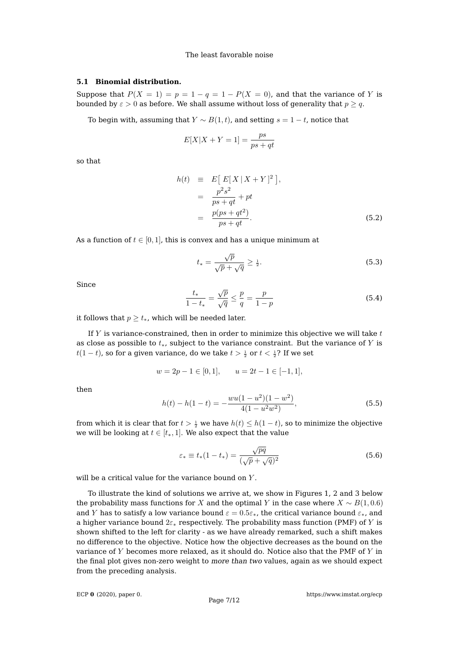### **5.1 Binomial distribution.**

Suppose that  $P(X = 1) = p = 1 - q = 1 - P(X = 0)$ , and that the variance of Y is bounded by  $\varepsilon > 0$  as before. We shall assume without loss of generality that  $p \geq q$ .

To begin with, assuming that  $Y \sim B(1, t)$ , and setting  $s = 1 - t$ , notice that

$$
E[X|X+Y=1] = \frac{ps}{ps+qt}
$$

so that

$$
h(t) \equiv E\left[E[X|X+Y]^2\right],
$$
  
\n
$$
= \frac{p^2s^2}{ps+qt} + pt
$$
  
\n
$$
= \frac{p(ps+qt^2)}{ps+qt}.
$$
 (5.2)

As a function of  $t \in [0, 1]$ , this is convex and has a unique minimum at

$$
t_* = \frac{\sqrt{p}}{\sqrt{p} + \sqrt{q}} \ge \frac{1}{2}.\tag{5.3}
$$

Since

$$
\frac{t_*}{1 - t_*} = \frac{\sqrt{p}}{\sqrt{q}} \le \frac{p}{q} = \frac{p}{1 - p}
$$
\n(5.4)

it follows that  $p \geq t_*$ , which will be needed later.

If  $Y$  is variance-constrained, then in order to minimize this objective we will take  $t$ as close as possible to  $t_*$ , subject to the variance constraint. But the variance of Y is  $t(1-t)$ , so for a given variance, do we take  $t>\frac{1}{2}$  or  $t<\frac{1}{2}$ ? If we set

$$
w = 2p - 1 \in [0, 1], \qquad u = 2t - 1 \in [-1, 1],
$$

then

$$
h(t) - h(1 - t) = -\frac{wu(1 - u^2)(1 - w^2)}{4(1 - u^2w^2)},
$$
\n(5.5)

from which it is clear that for  $t>\frac{1}{2}$  we have  $h(t)\leq h(1-t)$ , so to minimize the objective we will be looking at  $t \in [t_*, 1]$ . We also expect that the value

$$
\varepsilon_* \equiv t_*(1 - t_*) = \frac{\sqrt{pq}}{(\sqrt{p} + \sqrt{q})^2}
$$
\n(5.6)

will be a critical value for the variance bound on Y.

To illustrate the kind of solutions we arrive at, we show in Figures [1,](#page-7-0) [2](#page-7-1) and [3](#page-0-2) below the probability mass functions for X and the optimal Y in the case where  $X \sim B(1, 0.6)$ and Y has to satisfy a low variance bound  $\varepsilon = 0.5\varepsilon_*$ , the critical variance bound  $\varepsilon_*$ , and a higher variance bound  $2\varepsilon_*$  respectively. The probability mass function (PMF) of Y is shown shifted to the left for clarity - as we have already remarked, such a shift makes no difference to the objective. Notice how the objective decreases as the bound on the variance of  $Y$  becomes more relaxed, as it should do. Notice also that the PMF of  $Y$  in the final plot gives non-zero weight to more than two values, again as we should expect from the preceding analysis.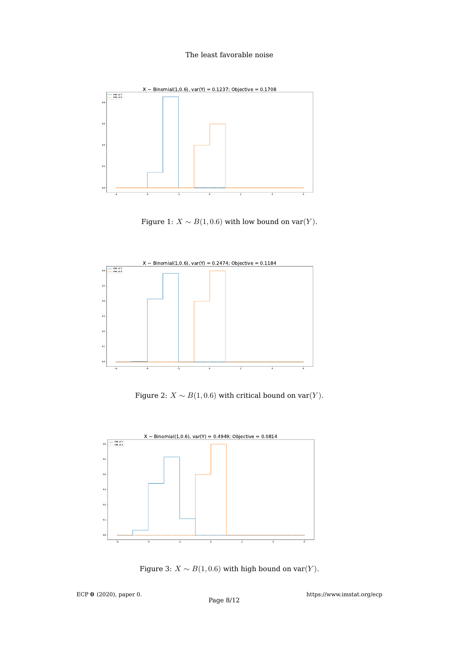

Figure 1:  $X \sim B(1, 0.6)$  with low bound on var $(Y)$ .



<span id="page-7-0"></span>Figure 2:  $X \sim B(1, 0.6)$  with critical bound on var $(Y)$ .



<span id="page-7-1"></span>Figure 3:  $X \sim B(1, 0.6)$  with high bound on var $(Y)$ .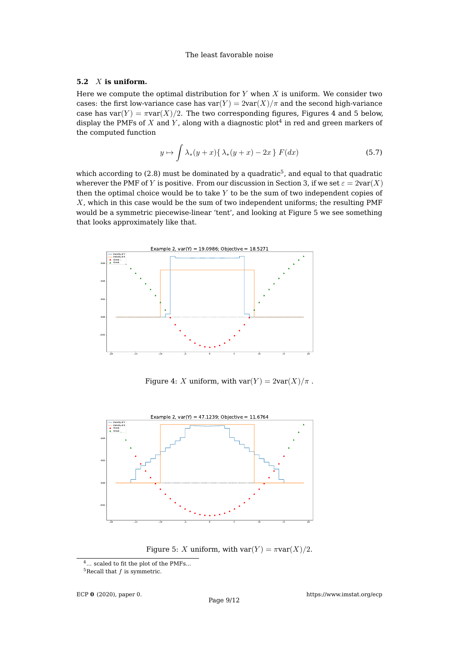### **5.2** X **is uniform.**

Here we compute the optimal distribution for  $Y$  when  $X$  is uniform. We consider two cases: the first low-variance case has  $var(Y) = 2var(X)/\pi$  and the second high-variance case has var $(Y) = \pi \text{var}(X)/2$ . The two corresponding figures, Figures [4](#page-8-0) and [5](#page-0-2) below, display the PMFs of  $X$  and  $Y$ , along with a diagnostic plot $^4$  $^4$  in red and green markers of the computed function

$$
y \mapsto \int \lambda_*(y+x) \{ \lambda_*(y+x) - 2x \} F(dx) \tag{5.7}
$$

which according to [\(2.8\)](#page-2-7) must be dominated by a quadratic $^5$  $^5$ , and equal to that quadratic wherever the PMF of Y is positive. From our discussion in Section [3,](#page-3-0) if we set  $\varepsilon = 2\text{var}(X)$ then the optimal choice would be to take Y to be the sum of two independent copies of X, which in this case would be the sum of two independent uniforms; the resulting PMF would be a symmetric piecewise-linear 'tent', and looking at Figure [5](#page-0-2) we see something that looks approximately like that.



Figure 4: X uniform, with  $var(Y) = 2var(X)/\pi$ .



<span id="page-8-0"></span>Figure 5: X uniform, with  $var(Y) = \pi var(X)/2$ .

<span id="page-8-1"></span><sup>&</sup>lt;sup>4</sup>... scaled to fit the plot of the PMFs...

<span id="page-8-2"></span> $^5\mbox{Recall}$  that  $f$  is symmetric.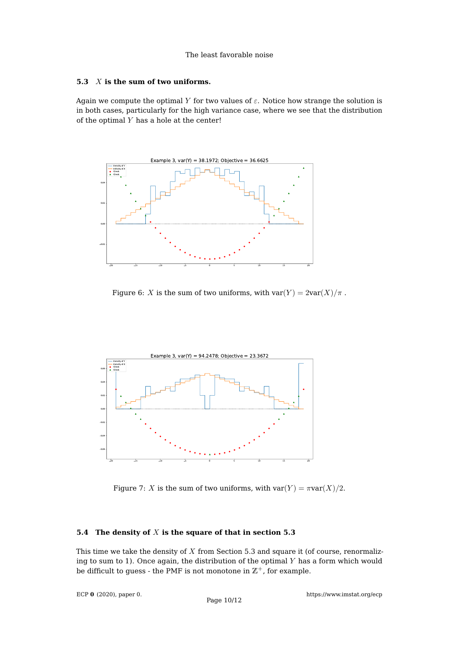### **5.3** X **is the sum of two uniforms.**

Again we compute the optimal Y for two values of  $\varepsilon$ . Notice how strange the solution is in both cases, particularly for the high variance case, where we see that the distribution of the optimal  $Y$  has a hole at the center!



Figure 6: X is the sum of two uniforms, with  $var(Y) = 2var(X)/\pi$ .



<span id="page-9-0"></span>Figure 7: X is the sum of two uniforms, with  $var(Y) = \pi var(X)/2$ .

## **5.4 The density of** X **is the square of that in section [5.3](#page-0-2)**

This time we take the density of  $X$  from Section [5.3](#page-0-2) and square it (of course, renormalizing to sum to 1). Once again, the distribution of the optimal  $Y$  has a form which would be difficult to guess - the PMF is not monotone in  $\mathbb{Z}^+$ , for example.